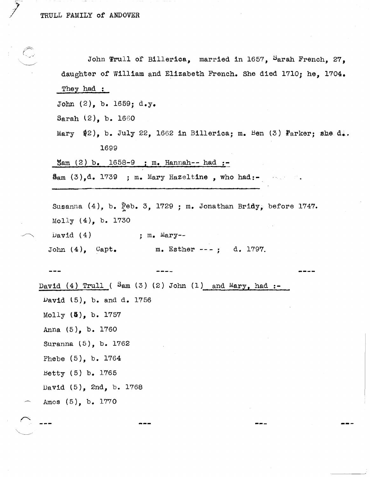|                                                                 |                                                                    | John Trull of Billerica, married in 1657, Sarah French, 27,                                 |  |
|-----------------------------------------------------------------|--------------------------------------------------------------------|---------------------------------------------------------------------------------------------|--|
|                                                                 | daughter of William and Elizabeth French. She died 1710; he, 1704. |                                                                                             |  |
|                                                                 | They had :                                                         |                                                                                             |  |
| John $(2)$ , b. 1659; d.y.                                      |                                                                    |                                                                                             |  |
|                                                                 | Sarah $(2)$ , b. 1660                                              |                                                                                             |  |
|                                                                 |                                                                    | Mary $(2)$ , b. July 22, 1662 in Billerica; m. Ben (3) Parker; she d                        |  |
|                                                                 | 1699                                                               |                                                                                             |  |
|                                                                 | $\text{Sam} (2) b. 1658-9; m. Hamnah-- had :-.$                    |                                                                                             |  |
|                                                                 |                                                                    | Sam $(3)$ , d. 1739 ; m. Mary Hazeltine, who had: - All decays in the set of $\mathbb{R}$ . |  |
|                                                                 |                                                                    |                                                                                             |  |
|                                                                 | Susanna (4), b. Feb. 3, 1729 ; m. Jonathan Bridy, before 1747.     |                                                                                             |  |
|                                                                 | Molly $(4)$ , b. 1730                                              |                                                                                             |  |
|                                                                 | $\sqrt{$ $(4)$                                                     | ; $m_{\bullet}$ Mary--                                                                      |  |
|                                                                 |                                                                    | John (4), Capt. m. Esther ---; d. 1797.                                                     |  |
|                                                                 |                                                                    |                                                                                             |  |
|                                                                 |                                                                    |                                                                                             |  |
| David (4) Trull ( $\text{Sam}(3)$ (2) John (1) and Mary, had :- |                                                                    |                                                                                             |  |
|                                                                 | David $(5)$ , b. and d. 1756                                       |                                                                                             |  |
|                                                                 | Molly (5), b. 1757<br>Anna (5), b. 1760                            |                                                                                             |  |
|                                                                 |                                                                    |                                                                                             |  |
|                                                                 | Suranna (5), b. 1762                                               |                                                                                             |  |
|                                                                 | Phebe (5), b. 1764                                                 |                                                                                             |  |
|                                                                 | Betty (5) b. 1765                                                  |                                                                                             |  |
|                                                                 | David (5), 2nd, b. 1768                                            |                                                                                             |  |
|                                                                 | Amos (5), b. 1770                                                  |                                                                                             |  |
|                                                                 |                                                                    |                                                                                             |  |
|                                                                 |                                                                    |                                                                                             |  |